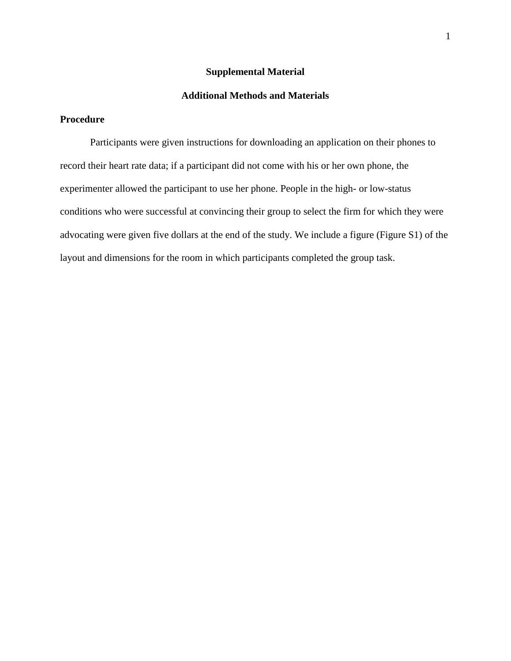## **Supplemental Material**

### **Additional Methods and Materials**

## **Procedure**

Participants were given instructions for downloading an application on their phones to record their heart rate data; if a participant did not come with his or her own phone, the experimenter allowed the participant to use her phone. People in the high- or low-status conditions who were successful at convincing their group to select the firm for which they were advocating were given five dollars at the end of the study. We include a figure (Figure S1) of the layout and dimensions for the room in which participants completed the group task.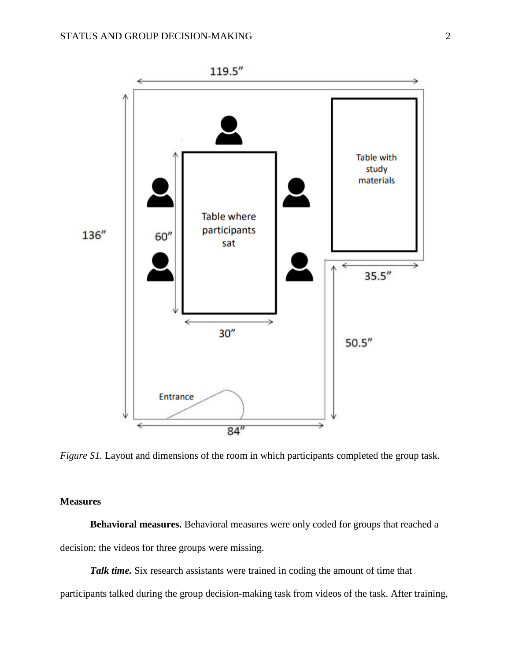

*Figure S1*. Layout and dimensions of the room in which participants completed the group task.

### **Measures**

**Behavioral measures.** Behavioral measures were only coded for groups that reached a decision; the videos for three groups were missing.

*Talk time.* Six research assistants were trained in coding the amount of time that

participants talked during the group decision-making task from videos of the task. After training,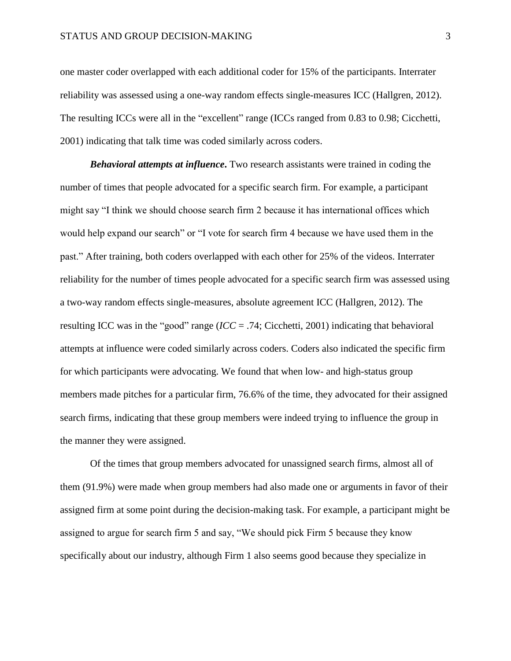one master coder overlapped with each additional coder for 15% of the participants. Interrater reliability was assessed using a one-way random effects single-measures ICC (Hallgren, 2012). The resulting ICCs were all in the "excellent" range (ICCs ranged from 0.83 to 0.98; Cicchetti, 2001) indicating that talk time was coded similarly across coders.

*Behavioral attempts at influence***.** Two research assistants were trained in coding the number of times that people advocated for a specific search firm. For example, a participant might say "I think we should choose search firm 2 because it has international offices which would help expand our search" or "I vote for search firm 4 because we have used them in the past." After training, both coders overlapped with each other for 25% of the videos. Interrater reliability for the number of times people advocated for a specific search firm was assessed using a two-way random effects single-measures, absolute agreement ICC (Hallgren, 2012). The resulting ICC was in the "good" range (*ICC* = .74; Cicchetti, 2001) indicating that behavioral attempts at influence were coded similarly across coders. Coders also indicated the specific firm for which participants were advocating. We found that when low- and high-status group members made pitches for a particular firm, 76.6% of the time, they advocated for their assigned search firms, indicating that these group members were indeed trying to influence the group in the manner they were assigned.

Of the times that group members advocated for unassigned search firms, almost all of them (91.9%) were made when group members had also made one or arguments in favor of their assigned firm at some point during the decision-making task. For example, a participant might be assigned to argue for search firm 5 and say, "We should pick Firm 5 because they know specifically about our industry, although Firm 1 also seems good because they specialize in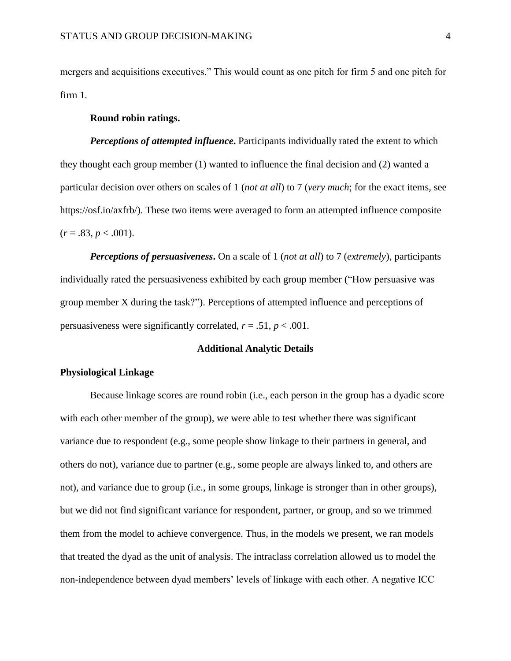mergers and acquisitions executives." This would count as one pitch for firm 5 and one pitch for firm 1.

#### **Round robin ratings.**

**Perceptions of attempted influence.** Participants individually rated the extent to which they thought each group member (1) wanted to influence the final decision and (2) wanted a particular decision over others on scales of 1 (*not at all*) to 7 (*very much*; for the exact items, see https://osf.io/axfrb/). These two items were averaged to form an attempted influence composite  $(r = .83, p < .001).$ 

*Perceptions of persuasiveness***.** On a scale of 1 (*not at all*) to 7 (*extremely*), participants individually rated the persuasiveness exhibited by each group member ("How persuasive was group member X during the task?"). Perceptions of attempted influence and perceptions of persuasiveness were significantly correlated,  $r = .51$ ,  $p < .001$ .

#### **Additional Analytic Details**

#### **Physiological Linkage**

Because linkage scores are round robin (i.e., each person in the group has a dyadic score with each other member of the group), we were able to test whether there was significant variance due to respondent (e.g., some people show linkage to their partners in general, and others do not), variance due to partner (e.g., some people are always linked to, and others are not), and variance due to group (i.e., in some groups, linkage is stronger than in other groups), but we did not find significant variance for respondent, partner, or group, and so we trimmed them from the model to achieve convergence. Thus, in the models we present, we ran models that treated the dyad as the unit of analysis. The intraclass correlation allowed us to model the non-independence between dyad members' levels of linkage with each other. A negative ICC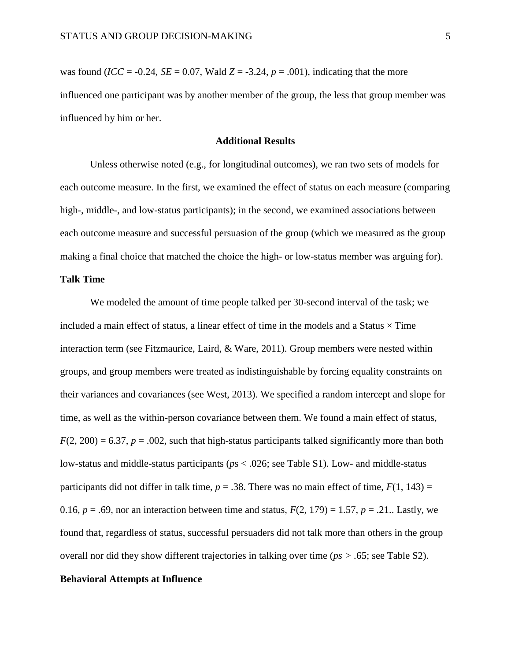was found (*ICC* = -0.24, *SE* = 0.07, Wald *Z* = -3.24, *p* = .001), indicating that the more influenced one participant was by another member of the group, the less that group member was influenced by him or her.

#### **Additional Results**

Unless otherwise noted (e.g., for longitudinal outcomes), we ran two sets of models for each outcome measure. In the first, we examined the effect of status on each measure (comparing high-, middle-, and low-status participants); in the second, we examined associations between each outcome measure and successful persuasion of the group (which we measured as the group making a final choice that matched the choice the high- or low-status member was arguing for).

#### **Talk Time**

We modeled the amount of time people talked per 30-second interval of the task; we included a main effect of status, a linear effect of time in the models and a Status  $\times$  Time interaction term (see Fitzmaurice, Laird, & Ware, 2011). Group members were nested within groups, and group members were treated as indistinguishable by forcing equality constraints on their variances and covariances (see West, 2013). We specified a random intercept and slope for time, as well as the within-person covariance between them. We found a main effect of status,  $F(2, 200) = 6.37$ ,  $p = .002$ , such that high-status participants talked significantly more than both low-status and middle-status participants (*p*s < .026; see Table S1). Low- and middle-status participants did not differ in talk time,  $p = .38$ . There was no main effect of time,  $F(1, 143) =$ 0.16,  $p = .69$ , nor an interaction between time and status,  $F(2, 179) = 1.57$ ,  $p = .21$ . Lastly, we found that, regardless of status, successful persuaders did not talk more than others in the group overall nor did they show different trajectories in talking over time (*ps > .*65; see Table S2).

## **Behavioral Attempts at Influence**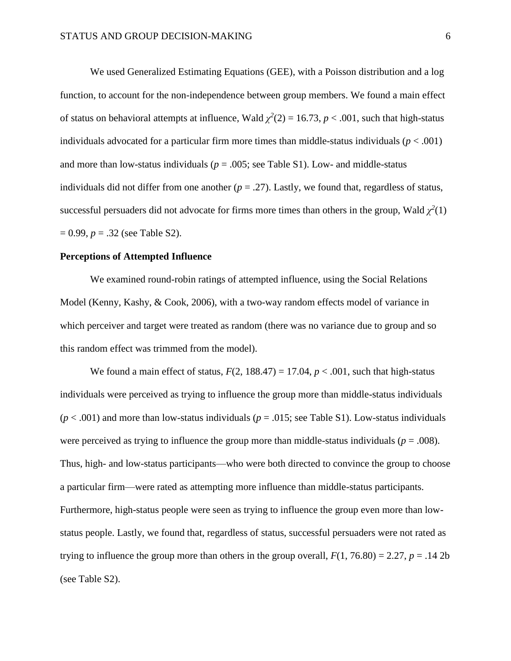We used Generalized Estimating Equations (GEE), with a Poisson distribution and a log function, to account for the non-independence between group members. We found a main effect of status on behavioral attempts at influence, Wald  $\chi^2(2) = 16.73$ ,  $p < .001$ , such that high-status individuals advocated for a particular firm more times than middle-status individuals  $(p < .001)$ and more than low-status individuals ( $p = .005$ ; see Table S1). Low- and middle-status individuals did not differ from one another  $(p = .27)$ . Lastly, we found that, regardless of status, successful persuaders did not advocate for firms more times than others in the group, Wald  $\chi^2(1)$ = 0.99, *p* = .32 (see Table S2).

#### **Perceptions of Attempted Influence**

We examined round-robin ratings of attempted influence, using the Social Relations Model (Kenny, Kashy, & Cook, 2006), with a two-way random effects model of variance in which perceiver and target were treated as random (there was no variance due to group and so this random effect was trimmed from the model).

We found a main effect of status,  $F(2, 188.47) = 17.04$ ,  $p < .001$ , such that high-status individuals were perceived as trying to influence the group more than middle-status individuals  $(p < .001)$  and more than low-status individuals  $(p = .015)$ ; see Table S1). Low-status individuals were perceived as trying to influence the group more than middle-status individuals ( $p = .008$ ). Thus, high- and low-status participants—who were both directed to convince the group to choose a particular firm—were rated as attempting more influence than middle-status participants. Furthermore, high-status people were seen as trying to influence the group even more than lowstatus people. Lastly, we found that, regardless of status, successful persuaders were not rated as trying to influence the group more than others in the group overall,  $F(1, 76.80) = 2.27$ ,  $p = .14$  2b (see Table S2).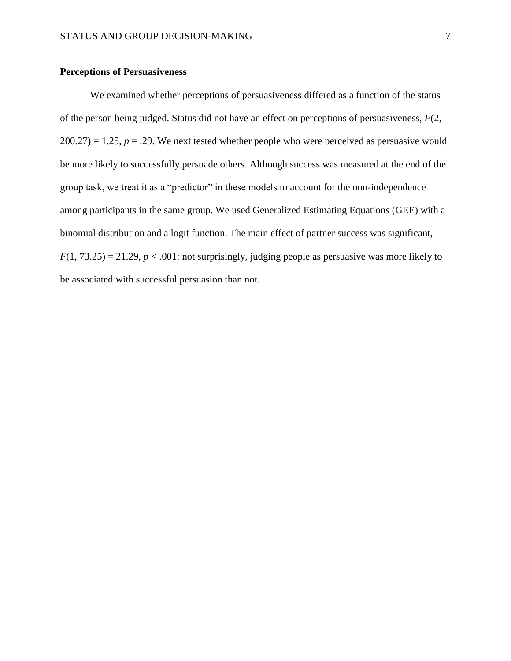### **Perceptions of Persuasiveness**

We examined whether perceptions of persuasiveness differed as a function of the status of the person being judged. Status did not have an effect on perceptions of persuasiveness, *F*(2,  $200.27$ ) = 1.25,  $p = 0.29$ . We next tested whether people who were perceived as persuasive would be more likely to successfully persuade others. Although success was measured at the end of the group task, we treat it as a "predictor" in these models to account for the non-independence among participants in the same group. We used Generalized Estimating Equations (GEE) with a binomial distribution and a logit function. The main effect of partner success was significant,  $F(1, 73.25) = 21.29$ ,  $p < .001$ : not surprisingly, judging people as persuasive was more likely to be associated with successful persuasion than not.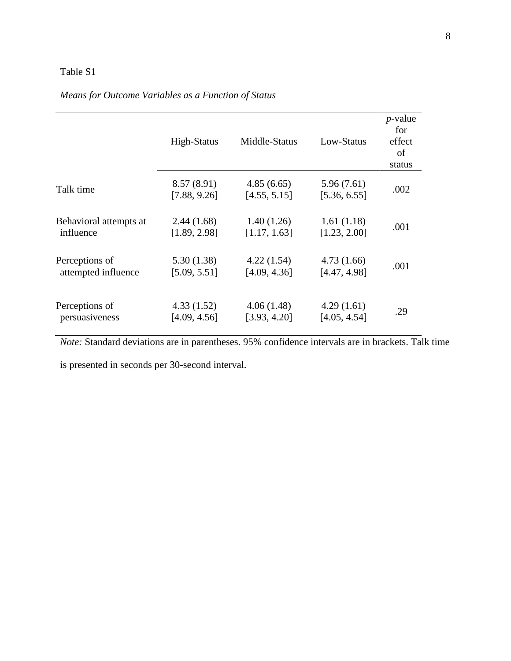## Table S1

# *Means for Outcome Variables as a Function of Status*

|                        | High-Status                | Middle-Status              | Low-Status                 | <i>p</i> -value<br>for<br>effect<br>of<br>status |
|------------------------|----------------------------|----------------------------|----------------------------|--------------------------------------------------|
| Talk time              | 8.57(8.91)<br>[7.88, 9.26] | 4.85(6.65)<br>[4.55, 5.15] | 5.96(7.61)<br>[5.36, 6.55] | .002                                             |
| Behavioral attempts at | 2.44(1.68)                 | 1.40(1.26)                 | 1.61(1.18)                 | .001                                             |
| influence              | [1.89, 2.98]               | [1.17, 1.63]               | [1.23, 2.00]               |                                                  |
| Perceptions of         | 5.30(1.38)                 | 4.22(1.54)                 | 4.73(1.66)                 | .001                                             |
| attempted influence    | [5.09, 5.51]               | [4.09, 4.36]               | [4.47, 4.98]               |                                                  |
| Perceptions of         | 4.33(1.52)                 | 4.06(1.48)                 | 4.29(1.61)                 | .29                                              |
| persuasiveness         | [4.09, 4.56]               | [3.93, 4.20]               | [4.05, 4.54]               |                                                  |

*Note:* Standard deviations are in parentheses. 95% confidence intervals are in brackets. Talk time

is presented in seconds per 30-second interval.